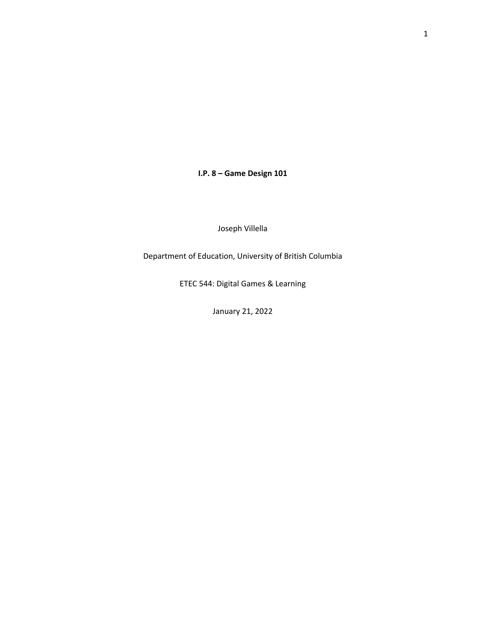**I.P. 8 – Game Design 101**

Joseph Villella

Department of Education, University of British Columbia

ETEC 544: Digital Games & Learning

January 21, 2022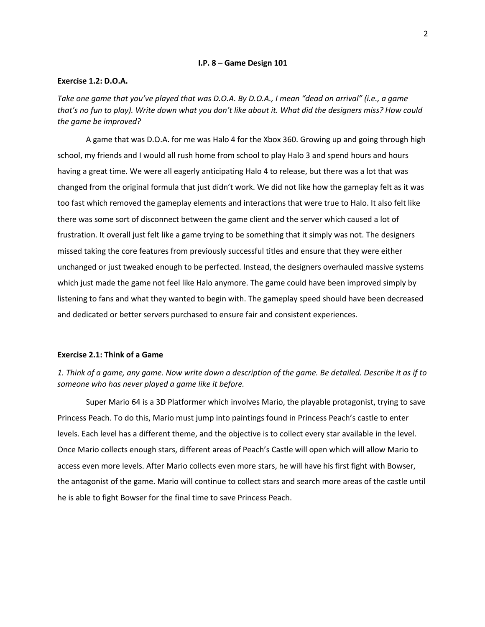## **I.P. 8 – Game Design 101**

### **Exercise 1.2: D.O.A.**

*Take one game that you've played that was D.O.A. By D.O.A., I mean "dead on arrival" (i.e., a game that's no fun to play). Write down what you don't like about it. What did the designers miss? How could the game be improved?*

A game that was D.O.A. for me was Halo 4 for the Xbox 360. Growing up and going through high school, my friends and I would all rush home from school to play Halo 3 and spend hours and hours having a great time. We were all eagerly anticipating Halo 4 to release, but there was a lot that was changed from the original formula that just didn't work. We did not like how the gameplay felt as it was too fast which removed the gameplay elements and interactions that were true to Halo. It also felt like there was some sort of disconnect between the game client and the server which caused a lot of frustration. It overall just felt like a game trying to be something that it simply was not. The designers missed taking the core features from previously successful titles and ensure that they were either unchanged or just tweaked enough to be perfected. Instead, the designers overhauled massive systems which just made the game not feel like Halo anymore. The game could have been improved simply by listening to fans and what they wanted to begin with. The gameplay speed should have been decreased and dedicated or better servers purchased to ensure fair and consistent experiences.

## **Exercise 2.1: Think of a Game**

*1. Think of a game, any game. Now write down a description of the game. Be detailed. Describe it as if to someone who has never played a game like it before.*

Super Mario 64 is a 3D Platformer which involves Mario, the playable protagonist, trying to save Princess Peach. To do this, Mario must jump into paintings found in Princess Peach's castle to enter levels. Each level has a different theme, and the objective is to collect every star available in the level. Once Mario collects enough stars, different areas of Peach's Castle will open which will allow Mario to access even more levels. After Mario collects even more stars, he will have his first fight with Bowser, the antagonist of the game. Mario will continue to collect stars and search more areas of the castle until he is able to fight Bowser for the final time to save Princess Peach.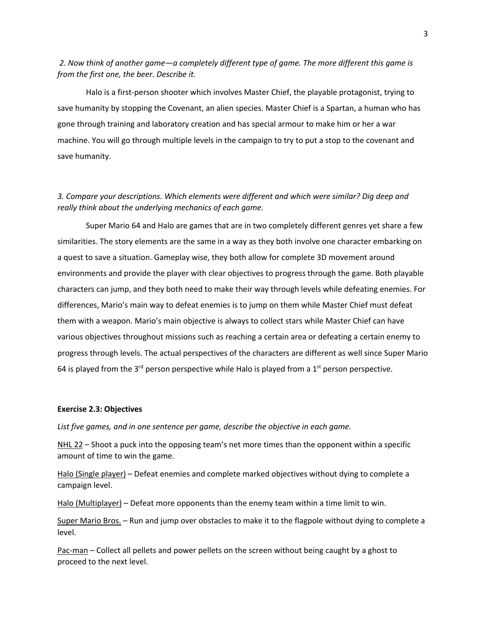*2. Now think of another game—a completely different type of game. The more different this game is from the first one, the beer. Describe it.* 

Halo is a first-person shooter which involves Master Chief, the playable protagonist, trying to save humanity by stopping the Covenant, an alien species. Master Chief is a Spartan, a human who has gone through training and laboratory creation and has special armour to make him or her a war machine. You will go through multiple levels in the campaign to try to put a stop to the covenant and save humanity.

# *3. Compare your descriptions. Which elements were different and which were similar? Dig deep and really think about the underlying mechanics of each game.*

Super Mario 64 and Halo are games that are in two completely different genres yet share a few similarities. The story elements are the same in a way as they both involve one character embarking on a quest to save a situation. Gameplay wise, they both allow for complete 3D movement around environments and provide the player with clear objectives to progress through the game. Both playable characters can jump, and they both need to make their way through levels while defeating enemies. For differences, Mario's main way to defeat enemies is to jump on them while Master Chief must defeat them with a weapon. Mario's main objective is always to collect stars while Master Chief can have various objectives throughout missions such as reaching a certain area or defeating a certain enemy to progress through levels. The actual perspectives of the characters are different as well since Super Mario 64 is played from the  $3<sup>rd</sup>$  person perspective while Halo is played from a  $1<sup>st</sup>$  person perspective.

## **Exercise 2.3: Objectives**

*List five games, and in one sentence per game, describe the objective in each game.*

NHL 22 – Shoot a puck into the opposing team's net more times than the opponent within a specific amount of time to win the game.

Halo (Single player) – Defeat enemies and complete marked objectives without dying to complete a campaign level.

Halo (Multiplayer) – Defeat more opponents than the enemy team within a time limit to win.

Super Mario Bros. – Run and jump over obstacles to make it to the flagpole without dying to complete a level.

Pac-man – Collect all pellets and power pellets on the screen without being caught by a ghost to proceed to the next level.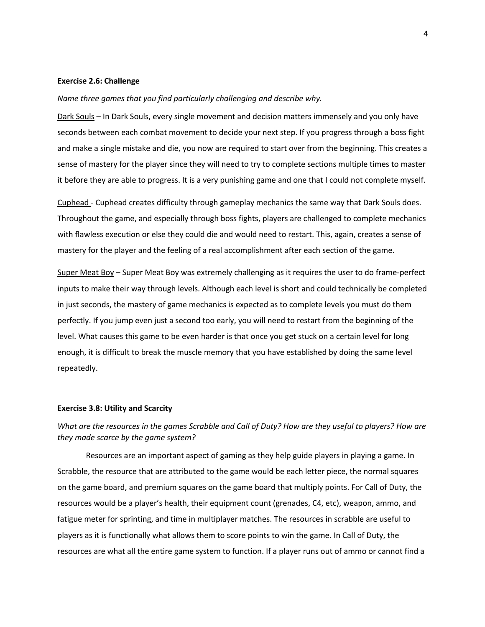### **Exercise 2.6: Challenge**

#### *Name three games that you find particularly challenging and describe why.*

Dark Souls – In Dark Souls, every single movement and decision matters immensely and you only have seconds between each combat movement to decide your next step. If you progress through a boss fight and make a single mistake and die, you now are required to start over from the beginning. This creates a sense of mastery for the player since they will need to try to complete sections multiple times to master it before they are able to progress. It is a very punishing game and one that I could not complete myself.

Cuphead - Cuphead creates difficulty through gameplay mechanics the same way that Dark Souls does. Throughout the game, and especially through boss fights, players are challenged to complete mechanics with flawless execution or else they could die and would need to restart. This, again, creates a sense of mastery for the player and the feeling of a real accomplishment after each section of the game.

Super Meat Boy – Super Meat Boy was extremely challenging as it requires the user to do frame-perfect inputs to make their way through levels. Although each level is short and could technically be completed in just seconds, the mastery of game mechanics is expected as to complete levels you must do them perfectly. If you jump even just a second too early, you will need to restart from the beginning of the level. What causes this game to be even harder is that once you get stuck on a certain level for long enough, it is difficult to break the muscle memory that you have established by doing the same level repeatedly.

### **Exercise 3.8: Utility and Scarcity**

# *What are the resources in the games Scrabble and Call of Duty? How are they useful to players? How are they made scarce by the game system?*

Resources are an important aspect of gaming as they help guide players in playing a game. In Scrabble, the resource that are attributed to the game would be each letter piece, the normal squares on the game board, and premium squares on the game board that multiply points. For Call of Duty, the resources would be a player's health, their equipment count (grenades, C4, etc), weapon, ammo, and fatigue meter for sprinting, and time in multiplayer matches. The resources in scrabble are useful to players as it is functionally what allows them to score points to win the game. In Call of Duty, the resources are what all the entire game system to function. If a player runs out of ammo or cannot find a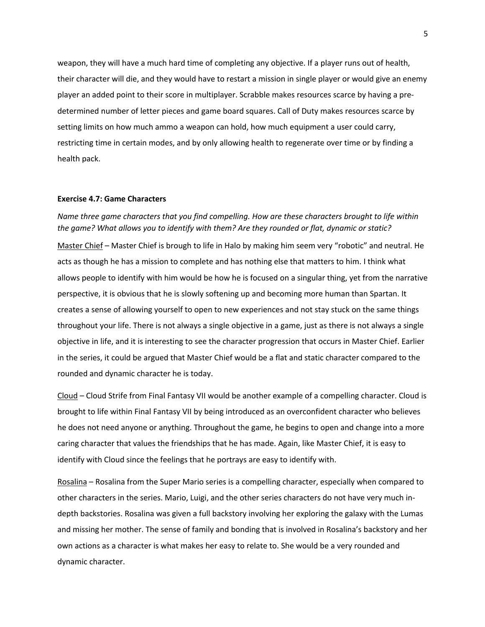weapon, they will have a much hard time of completing any objective. If a player runs out of health, their character will die, and they would have to restart a mission in single player or would give an enemy player an added point to their score in multiplayer. Scrabble makes resources scarce by having a predetermined number of letter pieces and game board squares. Call of Duty makes resources scarce by setting limits on how much ammo a weapon can hold, how much equipment a user could carry, restricting time in certain modes, and by only allowing health to regenerate over time or by finding a health pack.

### **Exercise 4.7: Game Characters**

# *Name three game characters that you find compelling. How are these characters brought to life within the game? What allows you to identify with them? Are they rounded or flat, dynamic or static?*

Master Chief – Master Chief is brough to life in Halo by making him seem very "robotic" and neutral. He acts as though he has a mission to complete and has nothing else that matters to him. I think what allows people to identify with him would be how he is focused on a singular thing, yet from the narrative perspective, it is obvious that he is slowly softening up and becoming more human than Spartan. It creates a sense of allowing yourself to open to new experiences and not stay stuck on the same things throughout your life. There is not always a single objective in a game, just as there is not always a single objective in life, and it is interesting to see the character progression that occurs in Master Chief. Earlier in the series, it could be argued that Master Chief would be a flat and static character compared to the rounded and dynamic character he is today.

Cloud – Cloud Strife from Final Fantasy VII would be another example of a compelling character. Cloud is brought to life within Final Fantasy VII by being introduced as an overconfident character who believes he does not need anyone or anything. Throughout the game, he begins to open and change into a more caring character that values the friendships that he has made. Again, like Master Chief, it is easy to identify with Cloud since the feelings that he portrays are easy to identify with.

Rosalina – Rosalina from the Super Mario series is a compelling character, especially when compared to other characters in the series. Mario, Luigi, and the other series characters do not have very much indepth backstories. Rosalina was given a full backstory involving her exploring the galaxy with the Lumas and missing her mother. The sense of family and bonding that is involved in Rosalina's backstory and her own actions as a character is what makes her easy to relate to. She would be a very rounded and dynamic character.